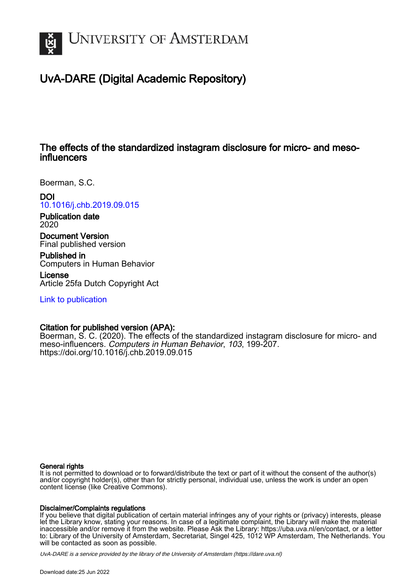

# UvA-DARE (Digital Academic Repository)

# The effects of the standardized instagram disclosure for micro- and mesoinfluencers

Boerman, S.C.

## DOI

[10.1016/j.chb.2019.09.015](https://doi.org/10.1016/j.chb.2019.09.015)

Publication date 2020

Document Version Final published version

Published in Computers in Human Behavior

License Article 25fa Dutch Copyright Act

[Link to publication](https://dare.uva.nl/personal/pure/en/publications/the-effects-of-the-standardized-instagram-disclosure-for-micro-and-mesoinfluencers(6976560e-fb22-4653-a830-19232c8689ea).html)

## Citation for published version (APA):

Boerman, S. C. (2020). The effects of the standardized instagram disclosure for micro- and meso-influencers. Computers in Human Behavior, 103, 199-207. <https://doi.org/10.1016/j.chb.2019.09.015>

### General rights

It is not permitted to download or to forward/distribute the text or part of it without the consent of the author(s) and/or copyright holder(s), other than for strictly personal, individual use, unless the work is under an open content license (like Creative Commons).

### Disclaimer/Complaints regulations

If you believe that digital publication of certain material infringes any of your rights or (privacy) interests, please let the Library know, stating your reasons. In case of a legitimate complaint, the Library will make the material inaccessible and/or remove it from the website. Please Ask the Library: https://uba.uva.nl/en/contact, or a letter to: Library of the University of Amsterdam, Secretariat, Singel 425, 1012 WP Amsterdam, The Netherlands. You will be contacted as soon as possible.

UvA-DARE is a service provided by the library of the University of Amsterdam (http*s*://dare.uva.nl)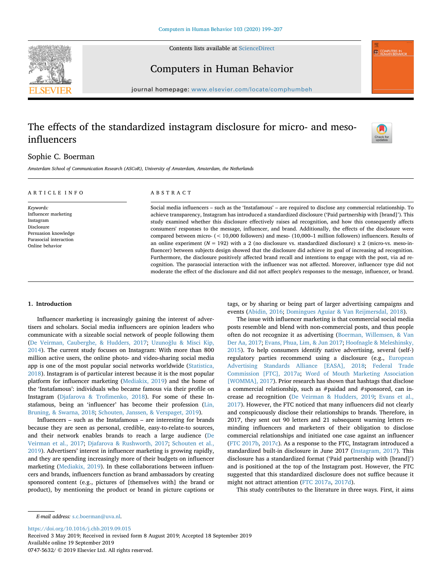Contents lists available at [ScienceDirect](http://www.sciencedirect.com/science/journal/07475632)





## Computers in Human Behavior

journal homepage: [www.elsevier.com/locate/comphumbeh](https://www.elsevier.com/locate/comphumbeh)

# The effects of the standardized instagram disclosure for micro- and mesoinfluencers



### Sophie C. Boerman

*Amsterdam School of Communication Research (ASCoR), University of Amsterdam, Amsterdam, the Netherlands*

| ARTICLE INFO           | ABSTRACT                                                                                                         |  |  |
|------------------------|------------------------------------------------------------------------------------------------------------------|--|--|
| Keywords:              | Social media influencers – such as the 'Instafamous' – are required to disclose any commercial relationship. To  |  |  |
| Influencer marketing   | achieve transparency, Instagram has introduced a standardized disclosure ('Paid partnership with [brand]'). This |  |  |
| Instagram              | study examined whether this disclosure effectively raises ad recognition, and how this consequently affects      |  |  |
| Disclosure             | consumers' responses to the message, influencer, and brand. Additionally, the effects of the disclosure were     |  |  |
| Persuasion knowledge   | compared between micro- (< 10,000 followers) and meso- (10,000–1 million followers) influencers. Results of      |  |  |
| Parasocial interaction | an online experiment ( $N = 192$ ) with a 2 (no disclosure vs. standardized disclosure) x 2 (micro-vs. meso-in-  |  |  |
| Online behavior        | fluencer) between subjects design showed that the disclosure did achieve its goal of increasing ad recognition.  |  |  |
|                        | Furthermore, the disclosure positively affected brand recall and intentions to engage with the post, via ad re-  |  |  |
|                        | cognition. The parasocial interaction with the influencer was not affected. Moreover, influencer type did not    |  |  |

#### **1. Introduction**

Influencer marketing is increasingly gaining the interest of advertisers and scholars. Social media influencers are opinion leaders who communicate with a sizeable social network of people following them ([De Veirman, Cauberghe, & Hudders, 2017;](#page-8-0) [Uzunoğlu & Misci Kip,](#page-9-0) [2014\)](#page-9-0). The current study focuses on Instagram: With more than 800 million active users, the online photo- and video-sharing social media app is one of the most popular social networks worldwide [\(Statistica,](#page-9-1) [2018\)](#page-9-1). Instagram is of particular interest because it is the most popular platform for influencer marketing ([Mediakix, 2019\)](#page-9-2) and the home of the 'Instafamous': individuals who became famous via their profile on Instagram [\(Djafarova & Trofimenko, 2018](#page-8-1)). For some of these Instafamous, being an 'influencer' has become their profession [\(Lin,](#page-9-3) [Bruning, & Swarna, 2018;](#page-9-3) [Schouten, Janssen, & Verspaget, 2019](#page-9-4)).

Influencers – such as the Instafamous – are interesting for brands because they are seen as personal, credible, easy-to-relate-to sources, and their network enables brands to reach a large audience [\(De](#page-8-0) [Veirman et al., 2017;](#page-8-0) [Djafarova & Rushworth, 2017;](#page-8-2) [Schouten et al.,](#page-9-4) [2019\)](#page-9-4). Advertisers' interest in influencer marketing is growing rapidly, and they are spending increasingly more of their budgets on influencer marketing ([Mediakix, 2019\)](#page-9-2). In these collaborations between influencers and brands, influencers function as brand ambassadors by creating sponsored content (e.g., pictures of [themselves with] the brand or product), by mentioning the product or brand in picture captions or

tags, or by sharing or being part of larger advertising campaigns and events ([Abidin, 2016](#page-8-3); [Domingues Aguiar & Van Reijmersdal, 2018\)](#page-8-4).

moderate the effect of the disclosure and did not affect people's responses to the message, influencer, or brand.

The issue with influencer marketing is that commercial social media posts resemble and blend with non-commercial posts, and thus people often do not recognize it as advertising ([Boerman, Willemsen, & Van](#page-8-5) [Der Aa, 2017;](#page-8-5) [Evans, Phua, Lim, & Jun 2017;](#page-8-6) [Hoofnagle & Meleshinsky,](#page-9-5) [2015\)](#page-9-5). To help consumers identify native advertising, several (self-) regulatory parties recommend using a disclosure (e.g., [European](#page-8-7) [Advertising Standards Alliance \[EASA\], 2018;](#page-8-7) [Federal Trade](#page-8-8) [Commission \[FTC\], 2017a;](#page-8-8) [Word of Mouth Marketing Association](#page-9-6) [\[WOMMA\], 2017](#page-9-6)). Prior research has shown that hashtags that disclose a commercial relationship, such as #paidad and #sponsored, can increase ad recognition ([De Veirman & Hudders, 2019;](#page-8-9) [Evans et al.,](#page-8-6) [2017\)](#page-8-6). However, the FTC noticed that many influencers did not clearly and conspicuously disclose their relationships to brands. Therefore, in 2017, they sent out 90 letters and 21 subsequent warning letters reminding influencers and marketers of their obligation to disclose commercial relationships and initiated one case against an influencer ([FTC 2017b,](#page-8-10) [2017c\)](#page-9-7). As a response to the FTC, Instagram introduced a standardized built-in disclosure in June 2017 ([Instagram, 2017](#page-9-8)). This disclosure has a standardized format ('Paid partnership with [brand]') and is positioned at the top of the Instagram post. However, the FTC suggested that this standardized disclosure does not suffice because it might not attract attention [\(FTC 2017a](#page-8-8), [2017d](#page-9-9)).

This study contributes to the literature in three ways. First, it aims

<https://doi.org/10.1016/j.chb.2019.09.015>

Received 3 May 2019; Received in revised form 8 August 2019; Accepted 18 September 2019 Available online 19 September 2019

0747-5632/ © 2019 Elsevier Ltd. All rights reserved.

*E-mail address:* [s.c.boerman@uva.nl](mailto:s.c.boerman@uva.nl).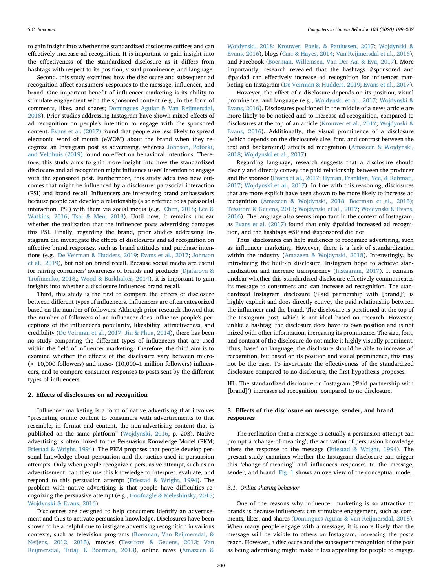to gain insight into whether the standardized disclosure suffices and can effectively increase ad recognition. It is important to gain insight into the effectiveness of the standardized disclosure as it differs from hashtags with respect to its position, visual prominence, and language.

Second, this study examines how the disclosure and subsequent ad recognition affect consumers' responses to the message, influencer, and brand. One important benefit of influencer marketing is its ability to stimulate engagement with the sponsored content (e.g., in the form of comments, likes, and shares; [Domingues Aguiar & Van Reijmersdal,](#page-8-4) [2018\)](#page-8-4). Prior studies addressing Instagram have shown mixed effects of ad recognition on people's intention to engage with the sponsored content. [Evans et al. \(2017\)](#page-8-6) found that people are less likely to spread electronic word of mouth (eWOM) about the brand when they recognize an Instagram post as advertising, whereas [Johnson, Potocki,](#page-9-10) [and Veldhuis \(2019\)](#page-9-10) found no effect on behavioral intentions. Therefore, this study aims to gain more insight into how the standardized disclosure and ad recognition might influence users' intention to engage with the sponsored post. Furthermore, this study adds two new outcomes that might be influenced by a disclosure: parasocial interaction (PSI) and brand recall. Influencers are interesting brand ambassadors because people can develop a relationship (also referred to as parasocial interaction, PSI) with them via social media (e.g., [Chen, 2018;](#page-8-11) [Lee &](#page-9-11) [Watkins, 2016;](#page-9-11) [Tsai & Men, 2013\)](#page-9-12). Until now, it remains unclear whether the realization that the influencer posts advertising damages this PSI. Finally, regarding the brand, prior studies addressing Instagram did investigate the effects of disclosures and ad recognition on affective brand responses, such as brand attitudes and purchase intentions (e.g., [De Veirman & Hudders, 2019;](#page-8-9) [Evans et al., 2017](#page-8-6); [Johnson](#page-9-10) [et al., 2019\)](#page-9-10), but not on brand recall. Because social media are useful for raising consumers' awareness of brands and products ([Djafarova &](#page-8-1) [Trofimenko, 2018,](#page-8-1); [Wood & Burkhalter, 2014](#page-9-13)), it is important to gain insights into whether a disclosure influences brand recall.

Third, this study is the first to compare the effects of disclosure between different types of influencers. Influencers are often categorized based on the number of followers. Although prior research showed that the number of followers of an influencer does influence people's perceptions of the influencer's popularity, likeability, attractiveness, and credibility [\(De Veirman et al., 2017;](#page-8-0) [Jin & Phua, 2014\)](#page-9-14), there has been no study comparing the different types of influencers that are used within the field of influencer marketing. Therefore, the third aim is to examine whether the effects of the disclosure vary between micro-  $(< 10,000$  followers) and meso- $(10,000-1)$  million followers) influencers, and to compare consumer responses to posts sent by the different types of influencers.

#### **2. Effects of disclosures on ad recognition**

Influencer marketing is a form of native advertising that involves "presenting online content to consumers with advertisements to that resemble, in format and content, the non-advertising content that is published on the same platform" ([Wojdynski, 2016,](#page-9-15) p. 203). Native advertising is often linked to the Persuasion Knowledge Model (PKM; [Friestad & Wright, 1994](#page-9-16)). The PKM proposes that people develop personal knowledge about persuasion and the tactics used in persuasion attempts. Only when people recognize a persuasive attempt, such as an advertisement, can they use this knowledge to interpret, evaluate, and respond to this persuasion attempt ([Friestad & Wright, 1994\)](#page-9-16). The problem with native advertising is that people have difficulties recognizing the persuasive attempt (e.g., [Hoofnagle & Meleshinsky, 2015](#page-9-5); [Wojdynski & Evans, 2016](#page-9-17)).

Disclosures are designed to help consumers identify an advertisement and thus to activate persuasion knowledge. Disclosures have been shown to be a helpful cue to instigate advertising recognition in various contexts, such as television programs [\(Boerman, Van Reijmersdal, &](#page-8-12) [Neijens, 2012, 2015\)](#page-8-12), movies [\(Tessitore & Geuens, 2013;](#page-9-18) [Van](#page-9-19) [Reijmersdal, Tutaj, & Boerman, 2013](#page-9-19)), online news [\(Amazeen &](#page-8-13)

[Wojdynski, 2018](#page-8-13); [Krouwer, Poels, & Paulussen, 2017;](#page-9-20) [Wojdynski &](#page-9-17) [Evans, 2016](#page-9-17)), blogs [\(Carr & Hayes, 2014;](#page-8-14) [Van Reijmersdal et al., 2016](#page-9-21)), and Facebook ([Boerman, Willemsen, Van Der Aa, & Eva, 2017](#page-8-5)). More importantly, research revealed that the hashtags #sponsored and #paidad can effectively increase ad recognition for influencer marketing on Instagram [\(De Veirman & Hudders, 2019;](#page-8-9) [Evans et al., 2017](#page-8-6)).

However, the effect of a disclosure depends on its position, visual prominence, and language (e.g., [Wojdynski et al., 2017;](#page-9-22) [Wojdynski &](#page-9-17) [Evans, 2016\)](#page-9-17). Disclosures positioned in the middle of a news article are more likely to be noticed and to increase ad recognition, compared to disclosures at the top of an article ([Krouwer et al., 2017](#page-9-20); [Wojdynski &](#page-9-17) [Evans, 2016](#page-9-17)). Additionally, the visual prominence of a disclosure (which depends on the disclosure's size, font, and contrast between the text and background) affects ad recognition [\(Amazeen & Wojdynski,](#page-8-13) [2018;](#page-8-13) [Wojdynski et al., 2017](#page-9-22)).

Regarding language, research suggests that a disclosure should clearly and directly convey the paid relationship between the producer and the sponsor ([Evans et al., 2017](#page-8-6); [Hyman, Franklyn, Yee, & Rahmati,](#page-9-23) [2017;](#page-9-23) [Wojdynski et al., 2017\)](#page-9-22). In line with this reasoning, disclosures that are more explicit have been shown to be more likely to increase ad recognition [\(Amazeen & Wojdynski, 2018; Boerman et al., 2015\)](#page-8-13); [Tessitore & Geuens, 2013](#page-9-18); [Wojdynski et al., 2017](#page-9-22); [Wojdynski & Evans,](#page-9-17) [2016\)](#page-9-17). The language also seems important in the context of Instagram, as [Evans et al. \(2017\)](#page-8-6) found that only #paidad increased ad recognition, and the hashtags #SP and #sponsored did not.

Thus, disclosures can help audiences to recognize advertising, such as influencer marketing. However, there is a lack of standardization within the industry ([Amazeen & Wojdynski, 2018\)](#page-8-13). Interestingly, by introducing the built-in disclosure, Instagram hope to achieve standardization and increase transparency [\(Instagram, 2017\)](#page-9-8). It remains unclear whether this standardized disclosure effectively communicates its message to consumers and can increase ad recognition. The standardized Instagram disclosure ('Paid partnership with [brand]') is highly explicit and does directly convey the paid relationship between the influencer and the brand. The disclosure is positioned at the top of the Instagram post, which is not ideal based on research. However, unlike a hashtag, the disclosure does have its own position and is not mixed with other information, increasing its prominence. The size, font, and contrast of the disclosure do not make it highly visually prominent. Thus, based on language, the disclosure should be able to increase ad recognition, but based on its position and visual prominence, this may not be the case. To investigate the effectiveness of the standardized disclosure compared to no disclosure, the first hypothesis proposes:

<span id="page-2-0"></span>**H1.** The standardized disclosure on Instagram ('Paid partnership with [brand]') increases ad recognition, compared to no disclosure.

#### **3. Effects of the disclosure on message, sender, and brand responses**

The realization that a message is actually a persuasion attempt can prompt a 'change-of-meaning'; the activation of persuasion knowledge alters the response to the message ([Friestad & Wright, 1994\)](#page-9-16). The present study examines whether the Instagram disclosure can trigger this 'change-of-meaning' and influences responses to the message, sender, and brand. [Fig. 1](#page-3-0) shows an overview of the conceptual model.

#### *3.1. Online sharing behavior*

One of the reasons why influencer marketing is so attractive to brands is because influencers can stimulate engagement, such as comments, likes, and shares ([Domingues Aguiar & Van Reijmersdal, 2018](#page-8-4)). When many people engage with a message, it is more likely that the message will be visible to others on Instagram, increasing the post's reach. However, a disclosure and the subsequent recognition of the post as being advertising might make it less appealing for people to engage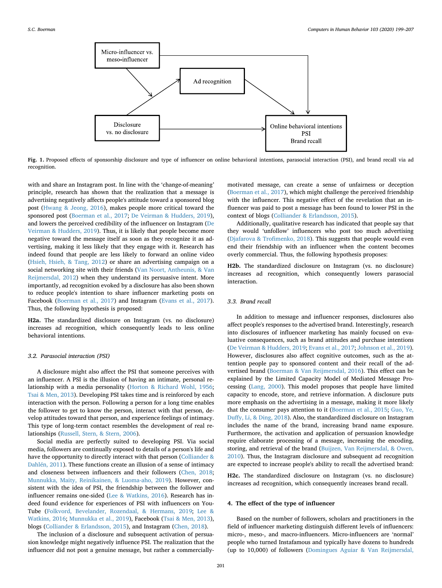<span id="page-3-0"></span>

**Fig. 1.** Proposed effects of sponsorship disclosure and type of influencer on online behavioral intentions, parasocial interaction (PSI), and brand recall via ad recognition.

with and share an Instagram post. In line with the 'change-of-meaning' principle, research has shown that the realization that a message is advertising negatively affects people's attitude toward a sponsored blog post ([Hwang & Jeong, 2016\)](#page-9-24), makes people more critical toward the sponsored post [\(Boerman et al., 2017](#page-8-5); [De Veirman & Hudders, 2019](#page-8-9)), and lowers the perceived credibility of the influencer on Instagram [\(De](#page-8-9) [Veirman & Hudders, 2019\)](#page-8-9). Thus, it is likely that people become more negative toward the message itself as soon as they recognize it as advertising, making it less likely that they engage with it. Research has indeed found that people are less likely to forward an online video ([Hsieh, Hsieh, & Tang, 2012\)](#page-9-25) or share an advertising campaign on a social networking site with their friends ([Van Noort, Antheunis, & Van](#page-9-26) [Reijmersdal, 2012\)](#page-9-26) when they understand its persuasive intent. More importantly, ad recognition evoked by a disclosure has also been shown to reduce people's intention to share influencer marketing posts on Facebook [\(Boerman et al., 2017\)](#page-8-5) and Instagram ([Evans et al., 2017](#page-8-6)). Thus, the following hypothesis is proposed:

**H2a.** The standardized disclosure on Instagram (vs. no disclosure) increases ad recognition, which consequently leads to less online behavioral intentions.

#### *3.2. Parasocial interaction (PSI)*

A disclosure might also affect the PSI that someone perceives with an influencer. A PSI is the illusion of having an intimate, personal relationship with a media personality ([Horton & Richard Wohl, 1956](#page-9-27); [Tsai & Men, 2013\)](#page-9-12). Developing PSI takes time and is reinforced by each interaction with the person. Following a person for a long time enables the follower to get to know the person, interact with that person, develop attitudes toward that person, and experience feelings of intimacy. This type of long-term contact resembles the development of real relationships [\(Russell, Stern, & Stern, 2006\)](#page-9-28).

Social media are perfectly suited to developing PSI. Via social media, followers are continually exposed to details of a person's life and have the opportunity to directly interact with that person [\(Colliander &](#page-8-15) [Dahlén, 2011\)](#page-8-15). These functions create an illusion of a sense of intimacy and closeness between influencers and their followers [\(Chen, 2018](#page-8-11); [Munnukka, Maity, Reinikainen, & Luoma-aho, 2019](#page-9-29)). However, consistent with the idea of PSI, the friendship between the follower and influencer remains one-sided ([Lee & Watkins, 2016\)](#page-9-11). Research has indeed found evidence for experiences of PSI with influencers on You-Tube [\(Folkvord, Bevelander, Rozendaal, & Hermans, 2019](#page-9-30); [Lee &](#page-9-11) [Watkins, 2016;](#page-9-11) [Munnukka et al., 2019\)](#page-9-29), Facebook [\(Tsai & Men, 2013](#page-9-12)), blogs ([Colliander & Erlandsson, 2015](#page-8-16)), and Instagram ([Chen, 2018\)](#page-8-11).

The inclusion of a disclosure and subsequent activation of persuasion knowledge might negatively influence PSI. The realization that the influencer did not post a genuine message, but rather a commerciallymotivated message, can create a sense of unfairness or deception ([Boerman et al., 2017\)](#page-8-5), which might challenge the perceived friendship with the influencer. This negative effect of the revelation that an influencer was paid to post a message has been found to lower PSI in the context of blogs ([Colliander & Erlandsson, 2015\)](#page-8-16).

Additionally, qualitative research has indicated that people say that they would 'unfollow' influencers who post too much advertising ([Djafarova & Trofimenko, 2018\)](#page-8-1). This suggests that people would even end their friendship with an influencer when the content becomes overly commercial. Thus, the following hypothesis proposes:

**H2b.** The standardized disclosure on Instagram (vs. no disclosure) increases ad recognition, which consequently lowers parasocial interaction.

#### *3.3. Brand recall*

In addition to message and influencer responses, disclosures also affect people's responses to the advertised brand. Interestingly, research into disclosures of influencer marketing has mainly focused on evaluative consequences, such as brand attitudes and purchase intentions ([De Veirman & Hudders, 2019](#page-8-9); [Evans et al., 2017;](#page-8-6) [Johnson et al., 2019](#page-9-10)). However, disclosures also affect cognitive outcomes, such as the attention people pay to sponsored content and their recall of the advertised brand [\(Boerman & Van Reijmersdal, 2016\)](#page-8-17). This effect can be explained by the Limited Capacity Model of Mediated Message Processing [\(Lang, 2000](#page-9-31)). This model proposes that people have limited capacity to encode, store, and retrieve information. A disclosure puts more emphasis on the advertising in a message, making it more likely that the consumer pays attention to it [\(Boerman et al., 2015](#page-8-18); [Guo, Ye,](#page-9-32) [Duffy, Li, & Ding, 2018](#page-9-32)). Also, the standardized disclosure on Instagram includes the name of the brand, increasing brand name exposure. Furthermore, the activation and application of persuasion knowledge require elaborate processing of a message, increasing the encoding, storing, and retrieval of the brand [\(Buijzen, Van Reijmersdal, & Owen,](#page-8-19) [2010\)](#page-8-19). Thus, the Instagram disclosure and subsequent ad recognition are expected to increase people's ability to recall the advertised brand:

**H2c.** The standardized disclosure on Instagram (vs. no disclosure) increases ad recognition, which consequently increases brand recall.

#### **4. The effect of the type of influencer**

Based on the number of followers, scholars and practitioners in the field of influencer marketing distinguish different levels of influencers: micro-, meso-, and macro-influencers. Micro-influencers are 'normal' people who turned Instafamous and typically have dozens to hundreds (up to 10,000) of followers [\(Domingues Aguiar & Van Reijmersdal,](#page-8-4)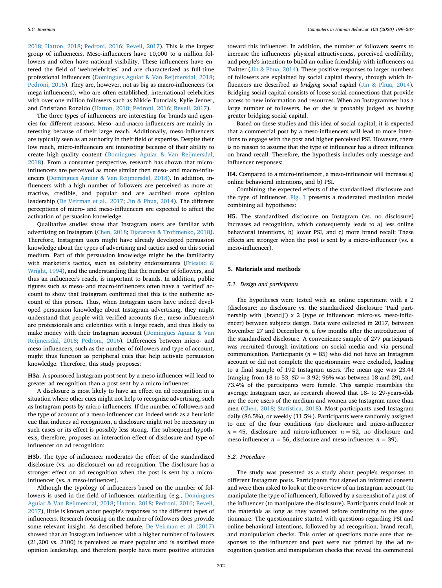[2018;](#page-8-4) [Hatton, 2018;](#page-9-33) [Pedroni, 2016;](#page-9-34) [Revell, 2017](#page-9-35)). This is the largest group of influencers. Meso-influencers have 10,000 to a million followers and often have national visibility. These influencers have entered the field of 'webcelebrities' and are characterized as full-time professional influencers ([Domingues Aguiar & Van Reijmersdal, 2018](#page-8-4); [Pedroni, 2016\)](#page-9-34). They are, however, not as big as macro-influencers (or mega-influencers), who are often established, international celebrities with over one million followers such as Nikkie Tutorials, Kylie Jenner, and Christiano Ronaldo [\(Hatton, 2018](#page-9-33); [Pedroni, 2016](#page-9-34); [Revell, 2017](#page-9-35)).

The three types of influencers are interesting for brands and agencies for different reasons. Meso- and macro-influencers are mainly interesting because of their large reach. Additionally, meso-influencers are typically seen as an authority in their field of expertise. Despite their low reach, micro-influencers are interesting because of their ability to create high-quality content ([Domingues Aguiar & Van Reijmersdal,](#page-8-4) [2018\)](#page-8-4). From a consumer perspective, research has shown that microinfluencers are perceived as more similar then meso- and macro-influencers [\(Domingues Aguiar & Van Reijmersdal, 2018\)](#page-8-4). In addition, influencers with a high number of followers are perceived as more attractive, credible, and popular and are ascribed more opinion leadership ([De Veirman et al., 2017](#page-8-0); [Jin & Phua, 2014](#page-9-14)). The different perceptions of micro- and meso-influencers are expected to affect the activation of persuasion knowledge.

Qualitative studies show that Instagram users are familiar with advertising on Instagram ([Chen, 2018](#page-8-11); [Djafarova & Trofimenko, 2018](#page-8-1)). Therefore, Instagram users might have already developed persuasion knowledge about the types of advertising and tactics used on this social medium. Part of this persuasion knowledge might be the familiarity with marketer's tactics, such as celebrity endorsements ([Friestad &](#page-9-16) [Wright, 1994](#page-9-16)), and the understanding that the number of followers, and thus an influencer's reach, is important to brands. In addition, public figures such as meso- and macro-influencers often have a 'verified' account to show that Instagram confirmed that this is the authentic account of this person. Thus, when Instagram users have indeed developed persuasion knowledge about Instagram advertising, they might understand that people with verified accounts (i.e., meso-influencers) are professionals and celebrities with a large reach, and thus likely to make money with their Instagram account [\(Domingues Aguiar & Van](#page-8-4) [Reijmersdal, 2018;](#page-8-4) [Pedroni, 2016\)](#page-9-34). Differences between micro- and meso-influencers, such as the number of followers and type of account, might thus function as peripheral cues that help activate persuasion knowledge. Therefore, this study proposes:

**H3a.** A sponsored Instagram post sent by a meso-influencer will lead to greater ad recognition than a post sent by a micro-influencer.

A disclosure is most likely to have an effect on ad recognition in a situation where other cues might not help to recognize advertising, such as Instagram posts by micro-influencers. If the number of followers and the type of account of a meso-influencer can indeed work as a heuristic cue that induces ad recognition, a disclosure might not be necessary in such cases or its effect is possibly less strong. The subsequent hypothesis, therefore, proposes an interaction effect of disclosure and type of influencer on ad recognition:

**H3b.** The type of influencer moderates the effect of the standardized disclosure (vs. no disclosure) on ad recognition: The disclosure has a stronger effect on ad recognition when the post is sent by a microinfluencer (vs. a meso-influencer).

Although the typology of influencers based on the number of followers is used in the field of influencer markerting (e.g., [Domingues](#page-8-4) [Aguiar & Van Reijmersdal, 2018;](#page-8-4) [Hatton, 2018;](#page-9-33) [Pedroni, 2016;](#page-9-34) [Revell,](#page-9-35) [2017\)](#page-9-35), little is known about people's responses to the different types of influencers. Research focusing on the number of followers does provide some relevant insight. As described before, [De Veirman et al. \(2017\)](#page-8-0) showed that an Instagram influencer with a higher number of followers (21,200 vs. 2100) is perceived as more popular and is ascribed more opinion leadership, and therefore people have more positive attitudes

toward this influencer. In addition, the number of followers seems to increase the influencers' physical attractiveness, perceived credibility, and people's intention to build an online friendship with influencers on Twitter ([Jin & Phua, 2014\)](#page-9-14). These positive responses to larger numbers of followers are explained by social capital theory, through which influencers are described as *bridging social capital* ([Jin & Phua, 2014](#page-9-14)). Bridging social capital consists of loose social connections that provide access to new information and resources. When an Instagrammer has a large number of followers, he or she is probably judged as having greater bridging social capital.

Based on these studies and this idea of social capital, it is expected that a commercial post by a meso-influencers will lead to more intentions to engage with the post and higher perceived PSI. However, there is no reason to assume that the type of influencer has a direct influence on brand recall. Therefore, the hypothesis includes only message and influencer responses:

<span id="page-4-0"></span>**H4.** Compared to a micro-influencer, a meso-influencer will increase a) online behavioral intentions, and b) PSI.

Combining the expected effects of the standardized disclosure and the type of influencer, [Fig. 1](#page-3-0) presents a moderated mediation model combining all hypotheses:

<span id="page-4-1"></span>**H5.** The standardized disclosure on Instagram (vs. no disclosure) increases ad recognition, which consequently leads to a) less online behavioral intentions, b) lower PSI, and c) more brand recall: These effects are stronger when the post is sent by a micro-influencer (vs. a meso-influencer).

#### **5. Materials and methods**

#### *5.1. Design and participants*

The hypotheses were tested with an online experiment with a 2 (disclosure: no disclosure vs. the standardized disclosure 'Paid partnership with [brand]') x 2 (type of influencer: micro-vs. meso-influencer) between subjects design. Data were collected in 2017, between November 27 and December 6, a few months after the introduction of the standardized disclosure. A convenience sample of 277 participants was recruited through invitations on social media and via personal communication. Participants ( $n = 85$ ) who did not have an Instagram account or did not complete the questionnaire were excluded, leading to a final sample of 192 Instagram users. The mean age was 23.44 (ranging from 18 to 53, *SD* = 3.92; 96% was between 18 and 29), and 73.4% of the participants were female. This sample resembles the average Instagram user, as research showed that 18- to 29-years-olds are the core users of the medium and women use Instagram more than men ([Chen, 2018](#page-8-11); [Statistica, 2018\)](#page-9-1). Most participants used Instagram daily (86.5%), or weekly (11.5%). Participants were randomly assigned to one of the four conditions (no disclosure and micro-influencer  $n = 45$ , disclosure and micro-influencer  $n = 52$ , no disclosure and meso-influencer  $n = 56$ , disclosure and meso-influencer  $n = 39$ ).

#### *5.2. Procedure*

The study was presented as a study about people's responses to different Instagram posts. Participants first signed an informed consent and were then asked to look at the overview of an Instagram account (to manipulate the type of influencer), followed by a screenshot of a post of the influencer (to manipulate the disclosure). Participants could look at the materials as long as they wanted before continuing to the questionnaire. The questionnaire started with questions regarding PSI and online behavioral intentions, followed by ad recognition, brand recall, and manipulation checks. This order of questions made sure that responses to the influencer and post were not primed by the ad recognition question and manipulation checks that reveal the commercial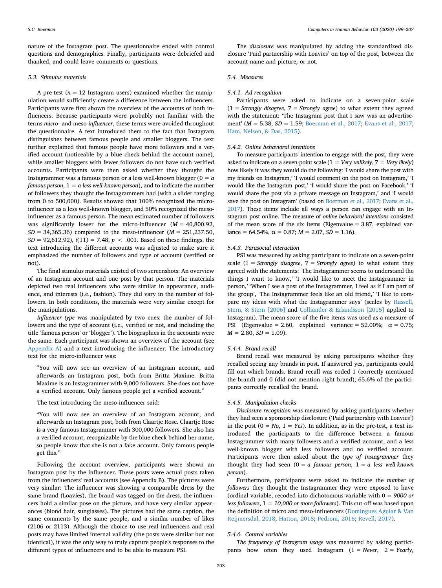nature of the Instagram post. The questionnaire ended with control questions and demographics. Finally, participants were debriefed and thanked, and could leave comments or questions.

#### *5.3. Stimulus materials*

A pre-test ( $n = 12$  Instagram users) examined whether the manipulation would sufficiently create a difference between the influencers. Participants were first shown the overview of the accounts of both influencers. Because participants were probably not familiar with the terms *micro-* and meso*-influencer*, these terms were avoided throughout the questionnaire. A text introduced them to the fact that Instagram distinguishes between famous people and smaller bloggers. The text further explained that famous people have more followers and a verified account (noticeable by a blue check behind the account name), while smaller bloggers with fewer followers do not have such verified accounts. Participants were then asked whether they thought the Instagrammer was a famous person or a less well-known blogger (0 = *a famous person*, 1 = *a less well-known person*), and to indicate the number of followers they thought the Instagrammers had (with a slider ranging from 0 to 500,000). Results showed that 100% recognized the microinfluencer as a less well-known blogger, and 50% recognized the mesoinfluencer as a famous person. The mean estimated number of followers was significantly lower for the micro-influencer (*M* = 40,800.92, *SD* = 34,365.36) compared to the meso-influencer (*M* = 251,237.50, *SD* = 92,612.92), *t*(11) = 7.48, *p* < .001. Based on these findings, the text introducing the different accounts was adjusted to make sure it emphasized the number of followers and type of account (verified or not).

The final stimulus materials existed of two screenshots: An overview of an Instagram account and one post by that person. The materials depicted two real influencers who were similar in appearance, audience, and interests (i.e., fashion). They did vary in the number of followers. In both conditions, the materials were very similar except for the manipulations.

*Influencer type* was manipulated by two cues: the number of followers and the type of account (i.e., verified or not, and including the title 'famous person' or 'blogger'). The biographies in the accounts were the same. Each participant was shown an overview of the account (see Appendix A) and a text introducing the influencer. The introductory text for the micro-influencer was:

"You will now see an overview of an Instagram account, and afterwards an Instagram post, both from Britta Maxime. Britta Maxime is an Instagrammer with 9,000 followers. She does not have a verified account. Only famous people get a verified account."

The text introducing the meso-influencer said:

"You will now see an overview of an Instagram account, and afterwards an Instagram post, both from Claartje Rose. Claartje Rose is a very famous Instagrammer with 300,000 followers. She also has a verified account, recognizable by the blue check behind her name, so people know that she is not a fake account. Only famous people get this."

Following the account overview, participants were shown an Instagram post by the influencer. These posts were actual posts taken from the influencers' real accounts (see Appendix B). The pictures were very similar: The influencer was showing a comparable dress by the same brand (Loavies), the brand was tagged on the dress, the influencers hold a similar pose on the picture, and have very similar appearances (blond hair, sunglasses). The pictures had the same caption, the same comments by the same people, and a similar number of likes (2106 or 2113). Although the choice to use real influencers and real posts may have limited internal validity (the posts were similar but not identical), it was the only way to truly capture people's responses to the different types of influencers and to be able to measure PSI.

The *disclosure* was manipulated by adding the standardized disclosure 'Paid partnership with Loavies' on top of the post, between the account name and picture, or not.

#### *5.4. Measures*

#### *5.4.1. Ad recognition*

Participants were asked to indicate on a seven-point scale (1 = *Strongly disagree*, 7 = *Strongly agree*) to what extent they agreed with the statement: 'The Instagram post that I saw was an advertisement' (*M* = 5.38, *SD* = 1.59; [Boerman et al., 2017;](#page-8-5) [Evans et al., 2017](#page-8-6); [Ham, Nelson, & Das, 2015](#page-9-36)).

#### *5.4.2. Online behavioral intentions*

To measure participants' intention to engage with the post, they were asked to indicate on a seven-point scale (1 = *Very unlikely*, 7 = *Very likely*) how likely it was they would do the following: 'I would share the post with my friends on Instagram,' 'I would comment on the post on Instagram,' 'I would like the Instagram post,' 'I would share the post on Facebook,' 'I would share the post via a private message on Instagram,' and 'I would save the post on Instagram' (based on [Boerman et al., 2017](#page-8-5); [Evans et al.,](#page-8-6) [2017\)](#page-8-6). These items include all ways a person can engage with an Instagram post online. The measure of *online behavioral intentions* consisted of the mean score of the six items (Eigenvalue = 3.87, explained variance = 64.54%,  $\alpha$  = 0.87;  $M = 2.07$ ,  $SD = 1.16$ ).

#### *5.4.3. Parasocial interaction*

PSI was measured by asking participant to indicate on a seven-point scale (1 = *Strongly disagree*, 7 = *Strongly agree*) to what extent they agreed with the statements: 'The Instagrammer seems to understand the things I want to know,' 'I would like to meet the Instagrammer in person,' 'When I see a post of the Instagrammer, I feel as if I am part of the group', 'The Instagrammer feels like an old friend,' 'I like to compare my ideas with what the Instagrammer says' (scales by [Russell,](#page-9-28) [Stern, & Stern \[2006\]](#page-9-28) and [Colliander & Erlandsson \[2015\]](#page-8-16) applied to Instagram). The mean score of the five items was used as a measure of PSI (Eigenvalue = 2.60, explained variance = 52.00%;  $\alpha = 0.75$ ;  $M = 2.80, SD = 1.09$ .

#### *5.4.4. Brand recall*

Brand recall was measured by asking participants whether they recalled seeing any brands in post. If answered yes, participants could fill out which brands. Brand recall was coded 1 (correctly mentioned the brand) and 0 (did not mention right brand); 65.6% of the participants correctly recalled the brand.

#### *5.4.5. Manipulation checks*

*Disclosure recognition* was measured by asking participants whether they had seen a sponsorship disclosure ('Paid partnership with Loavies') in the post  $(0 = No, 1 = Yes)$ . In addition, as in the pre-test, a text introduced the participants to the difference between a famous Instagrammer with many followers and a verified account, and a less well-known blogger with less followers and no verified account. Participants were then asked about the *type of Instagrammer* they thought they had seen  $(0 = a$  *famous person*,  $1 = a$  *less well-known person*).

Furthermore, participants were asked to indicate the *number of followers* they thought the Instagrammer they were exposed to have (ordinal variable, recoded into dichotomous variable with 0 = *9000 or less followers*, 1 = *10,000 or more followers*). This cut-off was based upon the definition of micro and meso-influencers [\(Domingues Aguiar & Van](#page-8-4) [Reijmersdal, 2018](#page-8-4); [Hatton, 2018](#page-9-33); [Pedroni, 2016](#page-9-34); [Revell, 2017\)](#page-9-35).

#### *5.4.6. Control variables*

*The frequency of Instagram usage* was measured by asking participants how often they used Instagram (1 = *Never*, 2 = *Yearly*,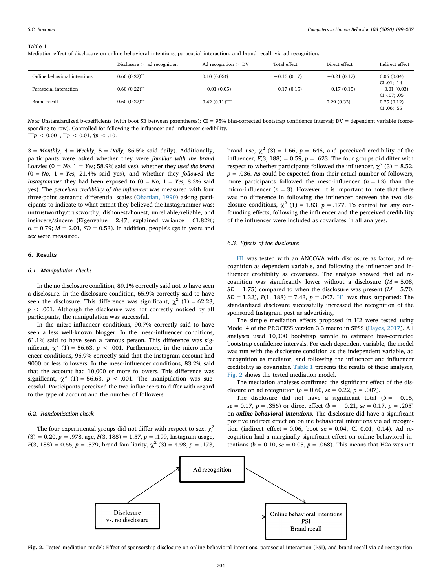#### <span id="page-6-0"></span>**Table 1**

Mediation effect of disclosure on online behavioral intentions, parasocial interaction, and brand recall, via ad recognition.

|                              | Disclosure $>$ ad recognition | Ad recognition $>$ DV | Total effect  | Direct effect | Indirect effect                 |
|------------------------------|-------------------------------|-----------------------|---------------|---------------|---------------------------------|
| Online behavioral intentions | $0.60(0.22)$ **               | $0.10(0.05)$ †        | $-0.15(0.17)$ | $-0.21(0.17)$ | 0.06(0.04)<br>CI.01; .14        |
| Parasocial interaction       | $0.60(0.22)$ **               | $-0.01(0.05)$         | $-0.17(0.15)$ | $-0.17(0.15)$ | $-0.01(0.03)$<br>$CI -07$ ; .05 |
| Brand recall                 | $0.60(0.22)$ **               | $0.42(0.11)$ ***      |               | 0.29(0.33)    | 0.25(0.12)<br>CI.06; .55        |

*Note:* Unstandardized b-coefficients (with boot SE between parentheses); CI = 95% bias-corrected bootstrap confidence interval; DV = dependent variable (corresponding to row). Controlled for following the influencer and influencer credibility.

∗∗∗*p <* 0.001, ∗∗*p <* 0.01, †*p* < .10.

 $3 =$  *Monthly*,  $4 =$  *Weekly*,  $5 =$  *Daily*; 86.5% said daily). Additionally, participants were asked whether they were *familiar with the brand* Loavies (0 = *No*, 1 = *Yes*; 58.9% said yes), whether they *used the brand*  $(0 = No, 1 = Yes; 21.4%$  said yes), and whether they *followed the Instagrammer* they had been exposed to  $(0 = No, 1 = Yes; 8.3%$  said yes). The *perceived credibility of the influencer* was measured with four three-point semantic differential scales ([Ohanian, 1990](#page-9-37)) asking participants to indicate to what extent they believed the Instagrammer was: untrustworthy/trustworthy, dishonest/honest, unreliable/reliable, and insincere/sincere (Eigenvalue = 2.47, explained variance = 61.82%;  $\alpha = 0.79$ ;  $M = 2.01$ ,  $SD = 0.53$ ). In addition, people's *age* in years and *sex* were measured.

#### **6. Results**

#### *6.1. Manipulation checks*

In the no disclosure condition, 89.1% correctly said not to have seen a disclosure. In the disclosure condition, 65.9% correctly said to have seen the disclosure. This difference was significant,  $\chi^2$  (1) = 62.23, *p* < .001. Although the disclosure was not correctly noticed by all participants, the manipulation was successful.

In the micro-influencer conditions, 90.7% correctly said to have seen a less well-known blogger. In the meso-influencer conditions, 61.1% said to have seen a famous person. This difference was significant,  $\chi^2$  (1) = 56.63, *p* < .001. Furthermore, in the micro-influencer conditions, 96.9% correctly said that the Instagram account had 9000 or less followers. In the meso-influencer conditions, 83.2% said that the account had 10,000 or more followers. This difference was significant,  $\chi^2$  (1) = 56.63, *p* < .001. The manipulation was successful: Participants perceived the two influencers to differ with regard to the type of account and the number of followers.

#### *6.2. Randomization check*

<span id="page-6-1"></span>The four experimental groups did not differ with respect to sex,  $\chi^2$  $(3) = 0.20, p = .978, age, F(3, 188) = 1.57, p = .199, Intagram usage,$ *F*(3, 188) = 0.66, *p* = .579, brand familiarity,  $\chi^2$  (3) = 4.98, *p* = .173, brand use,  $\chi^2$  (3) = 1.66, *p* = .646, and perceived credibility of the influencer,  $F(3, 188) = 0.59$ ,  $p = .623$ . The four groups did differ with respect to whether participants followed the influencer,  $\chi^2$  (3) = 8.52,  $p = .036$ . As could be expected from their actual number of followers, more participants followed the meso-influencer  $(n = 13)$  than the micro-influencer  $(n = 3)$ . However, it is important to note that there was no difference in following the influencer between the two disclosure conditions,  $\chi^2$  (1) = 1.83, *p* = .177. To control for any confounding effects, following the influencer and the perceived credibility of the influencer were included as covariates in all analyses.

#### *6.3. Effects of the disclosure*

[H1](#page-2-0) was tested with an ANCOVA with disclosure as factor, ad recognition as dependent variable, and following the influencer and influencer credibility as covariates. The analysis showed that ad recognition was significantly lower without a disclosure (*M* = 5.08,  $SD = 1.75$ ) compared to when the disclosure was present ( $M = 5.70$ , *SD* = 1.32),  $F(1, 188) = 7.43$ ,  $p = .007$ . [H1](#page-2-0) was thus supported: The standardized disclosure successfully increased the recognition of the sponsored Instagram post as advertising.

The simple mediation effects proposed in H2 were tested using Model 4 of the PROCESS version 3.3 macro in SPSS ([Hayes, 2017\)](#page-9-38). All analyses used 10,000 bootstrap sample to estimate bias-corrected bootstrap confidence intervals. For each dependent variable, the model was run with the disclosure condition as the independent variable, ad recognition as mediator, and following the influencer and influencer credibility as covariates. [Table 1](#page-6-0) presents the results of these analyses, [Fig. 2](#page-6-1) shows the tested mediation model.

The mediation analyses confirmed the significant effect of the disclosure on ad recognition ( $b = 0.60$ ,  $se = 0.22$ ,  $p = .007$ ).

The disclosure did not have a significant total  $(b = -0.15$ , *se* = 0.17, *p* = .356) or direct effect (*b* = −0.21, *se* = 0.17, *p* = .205) on *online behavioral intentions*. The disclosure did have a significant positive indirect effect on online behavioral intentions via ad recognition (indirect effect =  $0.06$ , boot se =  $0.04$ , CI 0.01; 0.14). Ad recognition had a marginally significant effect on online behavioral intentions ( $b = 0.10$ ,  $se = 0.05$ ,  $p = .068$ ). This means that H2a was not



**Fig. 2.** Tested mediation model: Effect of sponsorship disclosure on online behavioral intentions, parasocial interaction (PSI), and brand recall via ad recognition.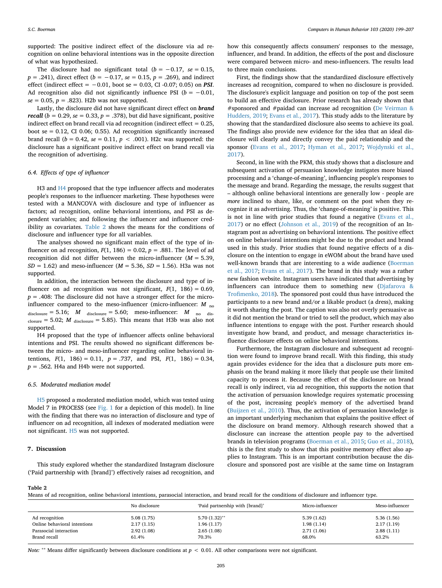supported: The positive indirect effect of the disclosure via ad recognition on online behavioral intentions was in the opposite direction of what was hypothesized.

The disclosure had no significant total  $(b = -0.17, \text{ se } = 0.15,$ *p* = .241), direct effect (*b* = −0.17, *se* = 0.15, *p* = .269), and indirect effect (indirect effect = −0.01, boot se = 0.03, CI -0.07; 0.05) on *PSI*. Ad recognition also did not significantly influence PSI ( $b = -0.01$ , *se* = 0.05, *p* = .823). H2b was not supported.

Lastly, the disclosure did not have significant direct effect on *brand recall* ( $b = 0.29$ ,  $se = 0.33$ ,  $p = .378$ ), but did have significant, positive indirect effect on brand recall via ad recognition (indirect effect  $= 0.25$ , boot se  $= 0.12$ , CI 0.06; 0.55). Ad recognition significantly increased brand recall  $(b = 0.42, \text{ se } = 0.11, \text{ p } < .001$ ). H2c was supported: the disclosure has a significant positive indirect effect on brand recall via the recognition of advertising.

#### *6.4. Effects of type of influencer*

H3 and [H4](#page-4-0) proposed that the type influencer affects and moderates people's responses to the influencer marketing. These hypotheses were tested with a MANCOVA with disclosure and type of influencer as factors; ad recognition, online behavioral intentions, and PSI as dependent variables; and following the influencer and influencer credibility as covariates. [Table 2](#page-7-0) shows the means for the conditions of disclosure and influencer type for all variables.

The analyses showed no significant main effect of the type of influencer on ad recognition,  $F(1, 186) = 0.02$ ,  $p = .881$ . The level of ad recognition did not differ between the micro-influencer (*M* = 5.39, *SD* = 1.62) and meso-influencer ( $M = 5.36$ , *SD* = 1.56). H3a was not supported.

In addition, the interaction between the disclosure and type of influencer on ad recognition was not significant,  $F(1, 186) = 0.69$ ,  $p = .408$ : The disclosure did not have a stronger effect for the microinfluencer compared to the meso-influencer (micro-influencer: *M* no  $_{\text{disclosure}} = 5.16$ ; *M*  $_{\text{disclosure}} = 5.60$ ; meso-influencer: *M* <sub>no dis-</sub>  $_{\text{closure}}$  = 5.02; *M*  $_{\text{disclosure}}$  = 5.85). This means that H3b was also not supported.

H4 proposed that the type of influencer affects online behavioral intentions and PSI. The results showed no significant differences between the micro- and meso-influencer regarding online behavioral intentions, *F*(1, 186) = 0.11, *p* = .737, and PSI, *F*(1, 186) = 0.34, *p* = .562. H4a and H4b were not supported.

#### *6.5. Moderated mediation model*

[H5](#page-4-1) proposed a moderated mediation model, which was tested using Model 7 in PROCESS (see [Fig. 1](#page-3-0) for a depiction of this model). In line with the finding that there was no interaction of disclosure and type of influencer on ad recognition, all indexes of moderated mediation were not significant. [H5](#page-4-1) was not supported.

#### **7. Discussion**

This study explored whether the standardized Instagram disclosure ('Paid partnership with [brand]') effectively raises ad recognition, and how this consequently affects consumers' responses to the message, influencer, and brand. In addition, the effects of the post and disclosure were compared between micro- and meso-influencers. The results lead to three main conclusions.

First, the findings show that the standardized disclosure effectively increases ad recognition, compared to when no disclosure is provided. The disclosure's explicit language and position on top of the post seem to build an effective disclosure. Prior research has already shown that #sponsored and #paidad can increase ad recognition [\(De Veirman &](#page-8-9) [Hudders, 2019;](#page-8-9) [Evans et al., 2017](#page-8-6)). This study adds to the literature by showing that the standardized disclosure also seems to achieve its goal. The findings also provide new evidence for the idea that an ideal disclosure will clearly and directly convey the paid relationship and the sponsor ([Evans et al., 2017](#page-8-6); [Hyman et al., 2017;](#page-9-23) [Wojdynski et al.,](#page-9-22) [2017\)](#page-9-22).

Second, in line with the PKM, this study shows that a disclosure and subsequent activation of persuasion knowledge instigates more biased processing and a 'change-of-meaning', influencing people's responses to the message and brand. Regarding the message, the results suggest that – although online behavioral intentions are generally low - people are *more* inclined to share, like, or comment on the post when they recognize it as advertising. Thus, the 'change-of-meaning' is positive. This is not in line with prior studies that found a negative [\(Evans et al.,](#page-8-6) [2017\)](#page-8-6) or no effect ([Johnson et al., 2019\)](#page-9-10) of the recognition of an Instagram post as advertising on behavioral intentions. The positive effect on online behavioral intentions might be due to the product and brand used in this study. Prior studies that found negative effects of a disclosure on the intention to engage in eWOM about the brand have used well-known brands that are interesting to a wide audience [\(Boerman](#page-8-5) [et al., 2017;](#page-8-5) [Evans et al., 2017\)](#page-8-6). The brand in this study was a rather new fashion website. Instagram users have indicated that advertising by influencers can introduce them to something new ([Djafarova &](#page-8-1) [Trofimenko, 2018](#page-8-1)). The sponsored post could thus have introduced the participants to a new brand and/or a likable product (a dress), making it worth sharing the post. The caption was also not overly persuasive as it did not mention the brand or tried to sell the product, which may also influence intentions to engage with the post. Further research should investigate how brand, and product, and message characteristics influence disclosure effects on online behavioral intentions.

Furthermore, the Instagram disclosure and subsequent ad recognition were found to improve brand recall. With this finding, this study again provides evidence for the idea that a disclosure puts more emphasis on the brand making it more likely that people use their limited capacity to process it. Because the effect of the disclosure on brand recall is only indirect, via ad recognition, this supports the notion that the activation of persuasion knowledge requires systematic processing of the post, increasing people's memory of the advertised brand ([Buijzen et al., 2010](#page-8-19)). Thus, the activation of persuasion knowledge is an important underlying mechanism that explains the positive effect of the disclosure on brand memory. Although research showed that a disclosure can increase the attention people pay to the advertised brands in television programs ([Boerman et al., 2015;](#page-8-18) [Guo et al., 2018](#page-9-32)), this is the first study to show that this positive memory effect also applies to Instagram. This is an important contribution because the disclosure and sponsored post are visible at the same time on Instagram

#### <span id="page-7-0"></span>**Table 2**

Means of ad recognition, online behavioral intentions, parasocial interaction, and brand recall for the conditions of disclosure and influencer type.

|                              | No disclosure | 'Paid partnership with [brand]' | Micro-influencer | Meso-influencer |
|------------------------------|---------------|---------------------------------|------------------|-----------------|
| Ad recognition               | 5.08(1.75)    | $5.70(1.32)$ **                 | 5.39(1.62)       | 5.36(1.56)      |
| Online behavioral intentions | 2.17(1.15)    | 1.96(1.17)                      | 1.98 (1.14)      | 2.17(1.19)      |
| Parasocial interaction       | 2.92(1.08)    | 2.65(1.08)                      | 2.71(1.06)       | 2.88(1.11)      |
| Brand recall                 | 61.4%         | 70.3%                           | 68.0%            | 63.2%           |

*Note:* ∗∗ Means differ significantly between disclosure conditions at *p <* 0.01. All other comparisons were not significant.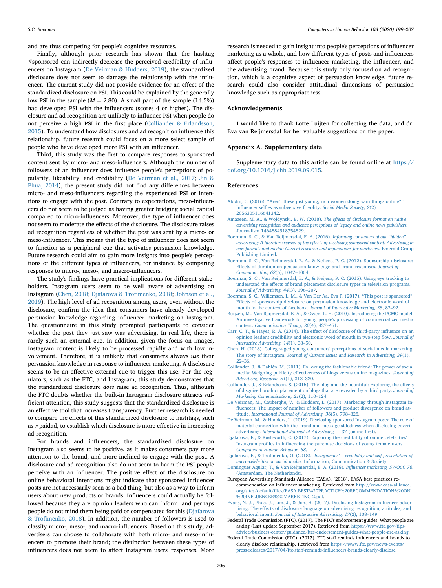and are thus competing for people's cognitive resources.

Finally, although prior research has shown that the hashtag #sponsored can indirectly decrease the perceived credibility of influencers on Instagram [\(De Veirman & Hudders, 2019\)](#page-8-9), the standardized disclosure does not seem to damage the relationship with the influencer. The current study did not provide evidence for an effect of the standardized disclosure on PSI. This could be explained by the generally low PSI in the sample ( $M = 2.80$ ). A small part of the sample (14.5%) had developed PSI with the influencers (scores 4 or higher). The disclosure and ad recognition are unlikely to influence PSI when people do not perceive a high PSI in the first place [\(Colliander & Erlandsson,](#page-8-16) [2015\)](#page-8-16). To understand how disclosures and ad recognition influence this relationship, future research could focus on a more select sample of people who have developed more PSI with an influencer.

Third, this study was the first to compare responses to sponsored content sent by micro- and meso-influencers. Although the number of followers of an influencer does influence people's perceptions of popularity, likeability, and credibility ([De Veirman et al., 2017;](#page-8-0) [Jin &](#page-9-14) [Phua, 2014\)](#page-9-14), the present study did not find any differences between micro- and meso-influencers regarding the experienced PSI or intentions to engage with the post. Contrary to expectations, meso-influencers do not seem to be judged as having greater bridging social capital compared to micro-influencers. Moreover, the type of influencer does not seem to moderate the effects of the disclosure. The disclosure raises ad recognition regardless of whether the post was sent by a micro- or meso-influencer. This means that the type of influencer does not seem to function as a peripheral cue that activates persuasion knowledge. Future research could aim to gain more insights into people's perceptions of the different types of influencers, for instance by comparing responses to micro-, meso-, and macro-influencers.

The study's findings have practical implications for different stakeholders. Instagram users seem to be well aware of advertising on Instagram [\(Chen, 2018;](#page-8-11) [Djafarova & Trofimenko, 2018](#page-8-1); [Johnson et al.,](#page-9-10) [2019\)](#page-9-10). The high level of ad recognition among users, even without the disclosure, confirm the idea that consumers have already developed persuasion knowledge regarding influencer marketing on Instagram. The questionnaire in this study prompted participants to consider whether the post they just saw was advertising. In real life, there is rarely such an external cue. In addition, given the focus on images, Instagram content is likely to be processed rapidly and with low involvement. Therefore, it is unlikely that consumers always *use* their persuasion knowledge in response to influencer marketing. A disclosure seems to be an effective external cue to trigger this use. For the regulators, such as the FTC, and Instagram, this study demonstrates that the standardized disclosure *does* raise ad recognition. Thus, although the FTC doubts whether the built-in Instagram disclosure attracts sufficient attention, this study suggests that the standardized disclosure is an effective tool that increases transparency. Further research is needed to compare the effects of this standardized disclosure to hashtags, such as #paidad, to establish which disclosure is more effective in increasing ad recognition.

For brands and influencers, the standardized disclosure on Instagram also seems to be positive, as it makes consumers pay more attention to the brand, and more inclined to engage with the post. A disclosure and ad recognition also do not seem to harm the PSI people perceive with an influencer. The positive effect of the disclosure on online behavioral intentions might indicate that sponsored influencer posts are not necessarily seen as a bad thing, but also as a way to inform users about new products or brands. Influencers could actually be followed because they are opinion leaders who can inform, and perhaps people do not mind them being paid or compensated for this [\(Djafarova](#page-8-1) [& Trofimenko, 2018](#page-8-1)). In addition, the number of followers is used to classify micro-, meso-, and macro-influencers. Based on this study, advertisers can choose to collaborate with both micro- and meso-influencers to promote their brand; the distinction between these types of influencers does not seem to affect Instagram users' responses. More

research is needed to gain insight into people's perceptions of influencer marketing as a whole, and how different types of posts and influencers affect people's responses to influencer marketing, the influencer, and the advertising brand. Because this study only focused on ad recognition, which is a cognitive aspect of persuasion knowledge, future research could also consider attitudinal dimensions of persuasion knowledge such as appropriateness.

#### **Acknowledgements**

I would like to thank Lotte Luijten for collecting the data, and dr. Eva van Reijmersdal for her valuable suggestions on the paper.

#### **Appendix A. Supplementary data**

Supplementary data to this article can be found online at [https://](https://doi.org/10.1016/j.chb.2019.09.015) [doi.org/10.1016/j.chb.2019.09.015](https://doi.org/10.1016/j.chb.2019.09.015).

#### **References**

- <span id="page-8-3"></span>[Abidin, C. \(2016\). "Aren't these just young, rich women doing vain things online?":](http://refhub.elsevier.com/S0747-5632(19)30343-7/sref5) [Influencer selfies as subversive frivolity.](http://refhub.elsevier.com/S0747-5632(19)30343-7/sref5) *Social Media Society, 2*(2) [2056305116641342.](http://refhub.elsevier.com/S0747-5632(19)30343-7/sref5)
- <span id="page-8-13"></span>[Amazeen, M. A., & Wojdynski, B. W. \(2018\).](http://refhub.elsevier.com/S0747-5632(19)30343-7/sref6) *The effects of disclosure format on native [advertising recognition and audience perceptions of legacy and online news publishers.](http://refhub.elsevier.com/S0747-5632(19)30343-7/sref6)* [Journalism 1464884918754829](http://refhub.elsevier.com/S0747-5632(19)30343-7/sref6).
- <span id="page-8-17"></span>[Boerman, S. C., & Van Reijmersdal, E. A. \(2016\).](http://refhub.elsevier.com/S0747-5632(19)30343-7/sref7) *Informing consumers about "hidden" [advertising: A literature review of the effects of disclosing sponsored content. Advertising in](http://refhub.elsevier.com/S0747-5632(19)30343-7/sref7) [new formats and media: Current research and implications for marketers.](http://refhub.elsevier.com/S0747-5632(19)30343-7/sref7)* Emerald Group [Publishing Limited](http://refhub.elsevier.com/S0747-5632(19)30343-7/sref7).
- <span id="page-8-12"></span>[Boerman, S. C., Van Reijmersdal, E. A., & Neijens, P. C. \(2012\). Sponsorship disclosure:](http://refhub.elsevier.com/S0747-5632(19)30343-7/sref8) [Effects of duration on persuasion knowledge and brand responses.](http://refhub.elsevier.com/S0747-5632(19)30343-7/sref8) *Journal of [Communication, 62](http://refhub.elsevier.com/S0747-5632(19)30343-7/sref8)*(6), 1047–1064.
- <span id="page-8-18"></span>[Boerman, S. C., Van Reijmersdal, E. A., & Neijens, P. C. \(2015\). Using eye tracking to](http://refhub.elsevier.com/S0747-5632(19)30343-7/sref1) [understand the effects of brand placement disclosure types in television programs.](http://refhub.elsevier.com/S0747-5632(19)30343-7/sref1) *[Journal of Advertising, 44](http://refhub.elsevier.com/S0747-5632(19)30343-7/sref1)*(3), 196–207.
- <span id="page-8-5"></span>[Boerman, S. C., Willemsen, L. M., & Van Der Aa, Eva P. \(2017\). "This post is sponsored":](http://refhub.elsevier.com/S0747-5632(19)30343-7/sref9) [Effects of sponsorship disclosure on persuasion knowledge and electronic word of](http://refhub.elsevier.com/S0747-5632(19)30343-7/sref9) mouth in the context of facebook. *[Journal of Interactive Marketing, 38](http://refhub.elsevier.com/S0747-5632(19)30343-7/sref9)*, 82–92.
- <span id="page-8-19"></span>[Buijzen, M., Van Reijmersdal, E. A., & Owen, L. H. \(2010\). Introducing the PCMC model:](http://refhub.elsevier.com/S0747-5632(19)30343-7/sref10) [An investigative framework for young people's processing of commercialized media](http://refhub.elsevier.com/S0747-5632(19)30343-7/sref10) content. *[Communication Theory, 20](http://refhub.elsevier.com/S0747-5632(19)30343-7/sref10)*(4), 427–451.
- <span id="page-8-14"></span>[Carr, C. T., & Hayes, R. A. \(2014\). The effect of disclosure of third-party influence on an](http://refhub.elsevier.com/S0747-5632(19)30343-7/sref11) [opinion leader's credibility and electronic word of mouth in two-step flow.](http://refhub.elsevier.com/S0747-5632(19)30343-7/sref11) *Journal of [Interactive Advertising, 14](http://refhub.elsevier.com/S0747-5632(19)30343-7/sref11)*(1), 38–50.
- <span id="page-8-11"></span>[Chen, H. \(2018\). College-aged young consumers' perceptions of social media marketing:](http://refhub.elsevier.com/S0747-5632(19)30343-7/sref12) The story of instagram. *[Journal of Current Issues and Research in Advertising, 39](http://refhub.elsevier.com/S0747-5632(19)30343-7/sref12)*(1), [22–36](http://refhub.elsevier.com/S0747-5632(19)30343-7/sref12).
- <span id="page-8-15"></span>[Colliander, J., & Dahlén, M. \(2011\). Following the fashionable friend: The power of social](http://refhub.elsevier.com/S0747-5632(19)30343-7/sref13) [media: Weighing publicity effectiveness of blogs versus online magazines.](http://refhub.elsevier.com/S0747-5632(19)30343-7/sref13) *Journal of [Advertising Research, 51](http://refhub.elsevier.com/S0747-5632(19)30343-7/sref13)*(1), 313–320.
- <span id="page-8-16"></span>[Colliander, J., & Erlandsson, S. \(2015\). The blog and the bountiful: Exploring the effects](http://refhub.elsevier.com/S0747-5632(19)30343-7/sref14) [of disguised product placement on blogs that are revealed by a third party.](http://refhub.elsevier.com/S0747-5632(19)30343-7/sref14) *Journal of [Marketing Communications, 21](http://refhub.elsevier.com/S0747-5632(19)30343-7/sref14)*(2), 110–124.
- <span id="page-8-0"></span>[De Veirman, M., Cauberghe, V., & Hudders, L. \(2017\). Marketing through Instagram in](http://refhub.elsevier.com/S0747-5632(19)30343-7/sref15)[fluencers: The impact of number of followers and product divergence on brand at](http://refhub.elsevier.com/S0747-5632(19)30343-7/sref15)titude. *[International Journal of Advertising, 36](http://refhub.elsevier.com/S0747-5632(19)30343-7/sref15)*(5), 798–828.
- <span id="page-8-9"></span>[De Veirman, M., & Hudders, L. \(2019\). Disclosing sponsored Instagram posts: The role of](http://refhub.elsevier.com/S0747-5632(19)30343-7/sref16) [material connection with the brand and message-sidedness when disclosing covert](http://refhub.elsevier.com/S0747-5632(19)30343-7/sref16)
- <span id="page-8-2"></span>advertising. *[International Journal of Advertising,](http://refhub.elsevier.com/S0747-5632(19)30343-7/sref16)* 1–37 (online first). [Djafarova, E., & Rushworth, C. \(2017\). Exploring the credibility of online celebrities'](http://refhub.elsevier.com/S0747-5632(19)30343-7/sref17) [Instagram profiles in influencing the purchase decisions of young female users.](http://refhub.elsevier.com/S0747-5632(19)30343-7/sref17) *[Computers in Human Behavior, 68](http://refhub.elsevier.com/S0747-5632(19)30343-7/sref17)*, 1–7.
- <span id="page-8-1"></span>Djafarova, E., & Trofimenko, O. (2018). *['Instafamous' – credibility and self-presentation of](http://refhub.elsevier.com/S0747-5632(19)30343-7/sref18) micro-celebrities on social media.* [Information, Communication & Society](http://refhub.elsevier.com/S0747-5632(19)30343-7/sref18).
- <span id="page-8-4"></span>[Domingues Aguiar, T., & Van Reijmersdal, E. A. \(2018\).](http://refhub.elsevier.com/S0747-5632(19)30343-7/sref19) *Influencer marketing. SWOCC 76.* [\(Amsterdam, The Netherlands\)](http://refhub.elsevier.com/S0747-5632(19)30343-7/sref19).
- <span id="page-8-7"></span>European Advertising Standards Alliance (EASA). (2018). EASA best practices recommendation on influencer marketing. Retrieved from [http://www.easa-alliance.](http://www.easa-alliance.org/sites/default/files/EASA_BEST%20PRACTICE%20RECOMMENDATION%20ON%20INFLUENCER%20MARKETING_2.pdf) [org/sites/default/files/EASA\\_BEST%20PRACTICE%20RECOMMENDATION%20ON](http://www.easa-alliance.org/sites/default/files/EASA_BEST%20PRACTICE%20RECOMMENDATION%20ON%20INFLUENCER%20MARKETING_2.pdf) [%20INFLUENCER%20MARKETING\\_2.pdf.](http://www.easa-alliance.org/sites/default/files/EASA_BEST%20PRACTICE%20RECOMMENDATION%20ON%20INFLUENCER%20MARKETING_2.pdf)
- <span id="page-8-6"></span>[Evans, N. J., Phua, J., Lim, J., & Jun, H. \(2017\). Disclosing Instagram influencer adver](http://refhub.elsevier.com/S0747-5632(19)30343-7/sref21)[tising: The effects of disclosure language on advertising recognition, attitudes, and](http://refhub.elsevier.com/S0747-5632(19)30343-7/sref21) behavioral intent. *[Journal of Interactive Advertising, 17](http://refhub.elsevier.com/S0747-5632(19)30343-7/sref21)*(2), 138–149.
- <span id="page-8-8"></span>Federal Trade Commission (FTC). (2017). The FTC's endorsement guides: What people are asking (Last update September 2017). Retrieved from [https://www.ftc.gov/tips](https://www.ftc.gov/tips-advice/business-center/guidance/ftcs-endorsement-guides-what-people-are-asking)[advice/business-center/guidance/ftcs-endorsement-guides-what-people-are-asking.](https://www.ftc.gov/tips-advice/business-center/guidance/ftcs-endorsement-guides-what-people-are-asking)
- <span id="page-8-10"></span>Federal Trade Commission (FTC). (2017). FTC staff reminds influencers and brands to clearly disclose relationship. Retrieved from [https://www.ftc.gov/news-events/](https://www.ftc.gov/news-events/press-releases/2017/04/ftc-staff-reminds-influencers-brands-clearly-disclose) [press-releases/2017/04/ftc-staff-reminds-influencers-brands-clearly-disclose](https://www.ftc.gov/news-events/press-releases/2017/04/ftc-staff-reminds-influencers-brands-clearly-disclose).